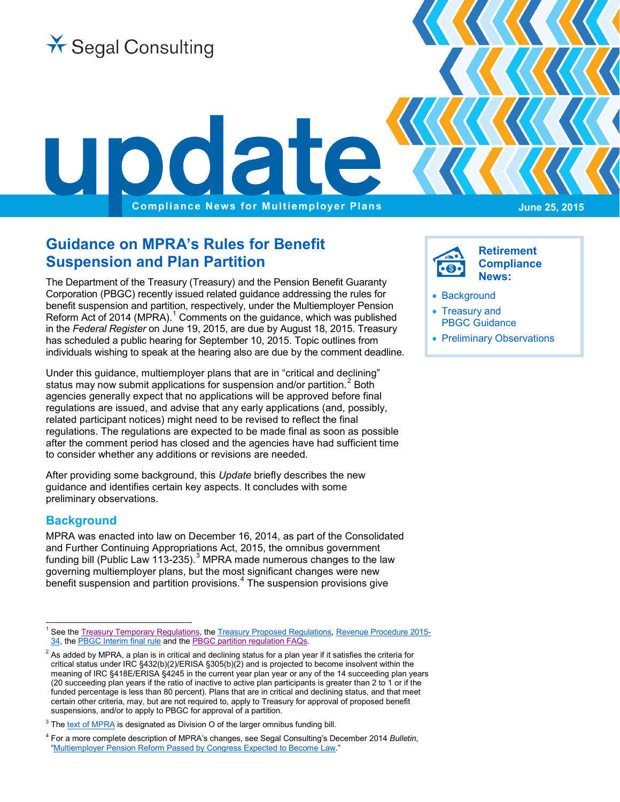

# **Guidance on MPRA's Rules for Benefit Suspension and Plan Partition**

The Department of the Treasury (Treasury) and the Pension Benefit Guaranty Corporation (PBGC) recently issued related guidance addressing the rules for benefit suspension and partition, respectively, under the Multiemployer Pension Reform Act of 20[1](#page-0-1)4 (MPRA). $1$  Comments on the guidance, which was published in the *Federal Register* on June 19, 2015, are due by August 18, 2015. Treasury has scheduled a public hearing for September 10, 2015. Topic outlines from individuals wishing to speak at the hearing also are due by the comment deadline.

Under this guidance, multiemployer plans that are in "critical and declining" status may now submit applications for suspension and/or partition.<sup>[2](#page-0-2)</sup> Both agencies generally expect that no applications will be approved before final regulations are issued, and advise that any early applications (and, possibly, related participant notices) might need to be revised to reflect the final regulations. The regulations are expected to be made final as soon as possible after the comment period has closed and the agencies have had sufficient time to consider whether any additions or revisions are needed.

After providing some background, this *Update* briefly describes the new guidance and identifies certain key aspects. It concludes with some preliminary observations.

## <span id="page-0-0"></span>**Background**

MPRA was enacted into law on December 16, 2014, as part of the Consolidated and Further Continuing Appropriations Act, 2015, the omnibus government funding bill (Public Law 11[3](#page-0-3)-235). $3$  MPRA made numerous changes to the law governing multiemployer plans, but the most significant changes were new  $\overline{b}$  enefit suspension and partition provisions.<sup>[4](#page-0-4)</sup> The suspension provisions give

**Retirement Compliance News:**

- [Background](#page-0-0)
- [Treasury and](#page-1-0) [PBGC Guidance](#page-1-0)
- [Preliminary Observations](#page-2-0)

<span id="page-0-1"></span><sup>&</sup>lt;sup>1</sup> See th[e Treasury Temporary Regulations,](http://www.gpo.gov/fdsys/pkg/FR-2015-06-19/pdf/2015-14945.pdf) the [Treasury Proposed Regulations,](http://www.gpo.gov/fdsys/pkg/FR-2015-06-19/pdf/2015-14948.pdf) [Revenue Procedure 2015-](http://www.irs.gov/pub/irs-drop/rp-15-34.pdf) [34,](http://www.irs.gov/pub/irs-drop/rp-15-34.pdf) th[e PBGC Interim final rule](http://www.gpo.gov/fdsys/pkg/FR-2015-06-19/pdf/2015-14930.pdf) and the [PBGC partition regulation FAQs.](http://pbgc.gov/prac/pg/mpra/partition-regulation-faqs.html)

<span id="page-0-2"></span> $2$  As added by MPRA, a plan is in critical and declining status for a plan year if it satisfies the criteria for critical status under IRC §432(b)(2)/ERISA §305(b)(2) and is projected to become insolvent within the meaning of IRC §418E/ERISA §4245 in the current year plan year or any of the 14 succeeding plan years (20 succeeding plan years if the ratio of inactive to active plan participants is greater than 2 to 1 or if the funded percentage is less than 80 percent). Plans that are in critical and declining status, and that meet certain other criteria, may, but are not required to, apply to Treasury for approval of proposed benefit suspensions, and/or to apply to PBGC for approval of a partition.

<span id="page-0-3"></span> $3$  Th[e text of MPRA](http://www.gpo.gov/fdsys/pkg/PLAW-113publ235/pdf/PLAW-113publ235.pdf) is designated as Division O of the larger omnibus funding bill.

<span id="page-0-4"></span><sup>4</sup> For a more complete description of MPRA's changes, see Segal Consulting's December 2014 *Bulletin*, ["Multiemployer Pension Reform Passed by Congress Expected to Become Law."](http://www.segalco.com/publications-videos/archived-compliance-publications/multiemployer-pension-reform-expected-to-become-law/#Multiemployer)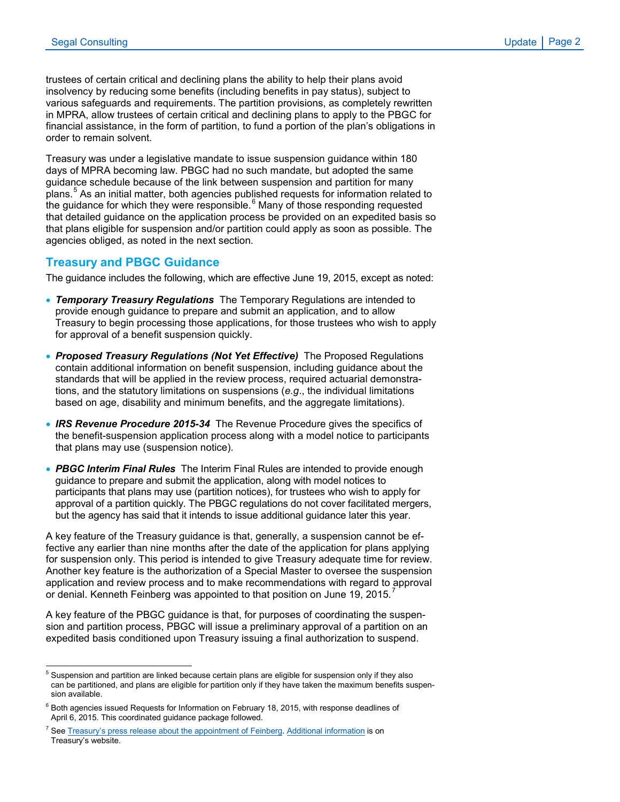trustees of certain critical and declining plans the ability to help their plans avoid insolvency by reducing some benefits (including benefits in pay status), subject to various safeguards and requirements. The partition provisions, as completely rewritten in MPRA, allow trustees of certain critical and declining plans to apply to the PBGC for financial assistance, in the form of partition, to fund a portion of the plan's obligations in order to remain solvent.

Treasury was under a legislative mandate to issue suspension guidance within 180 days of MPRA becoming law. PBGC had no such mandate, but adopted the same guidance schedule because of the link between suspension and partition for many plans.<sup>[5](#page-1-1)</sup> As an initial matter, both agencies published requests for information related to the guidance for which they were responsible. $6$  Many of those responding requested that detailed guidance on the application process be provided on an expedited basis so that plans eligible for suspension and/or partition could apply as soon as possible. The agencies obliged, as noted in the next section.

#### <span id="page-1-0"></span>**Treasury and PBGC Guidance**

The guidance includes the following, which are effective June 19, 2015, except as noted:

- *Temporary Treasury Regulations* The Temporary Regulations are intended to provide enough guidance to prepare and submit an application, and to allow Treasury to begin processing those applications, for those trustees who wish to apply for approval of a benefit suspension quickly.
- *Proposed Treasury Regulations (Not Yet Effective)* The Proposed Regulations contain additional information on benefit suspension, including guidance about the standards that will be applied in the review process, required actuarial demonstrations, and the statutory limitations on suspensions (*e.g*., the individual limitations based on age, disability and minimum benefits, and the aggregate limitations).
- *IRS Revenue Procedure 2015-34* The Revenue Procedure gives the specifics of the benefit-suspension application process along with a model notice to participants that plans may use (suspension notice).
- *PBGC Interim Final Rules* The Interim Final Rules are intended to provide enough guidance to prepare and submit the application, along with model notices to participants that plans may use (partition notices), for trustees who wish to apply for approval of a partition quickly. The PBGC regulations do not cover facilitated mergers, but the agency has said that it intends to issue additional guidance later this year.

A key feature of the Treasury guidance is that, generally, a suspension cannot be effective any earlier than nine months after the date of the application for plans applying for suspension only. This period is intended to give Treasury adequate time for review. Another key feature is the authorization of a Special Master to oversee the suspension application and review process and to make recommendations with regard to approval or denial. Kenneth Feinberg was appointed to that position on June 19, 2015.<sup>[7](#page-1-3)</sup>

A key feature of the PBGC guidance is that, for purposes of coordinating the suspension and partition process, PBGC will issue a preliminary approval of a partition on an expedited basis conditioned upon Treasury issuing a final authorization to suspend.

<span id="page-1-1"></span><sup>&</sup>lt;sup>5</sup> Suspension and partition are linked because certain plans are eligible for suspension only if they also can be partitioned, and plans are eligible for partition only if they have taken the maximum benefits suspension available.

<span id="page-1-2"></span> $6$  Both agencies issued Requests for Information on February 18, 2015, with response deadlines of April 6, 2015. This coordinated guidance package followed.

<span id="page-1-3"></span>See [Treasury's press release about the appointment of Feinberg.](http://www.treasury.gov/press-center/press-releases/Pages/jl0078.aspx) [Additional information](http://www.treasury.gov/mpra) is on Treasury's website.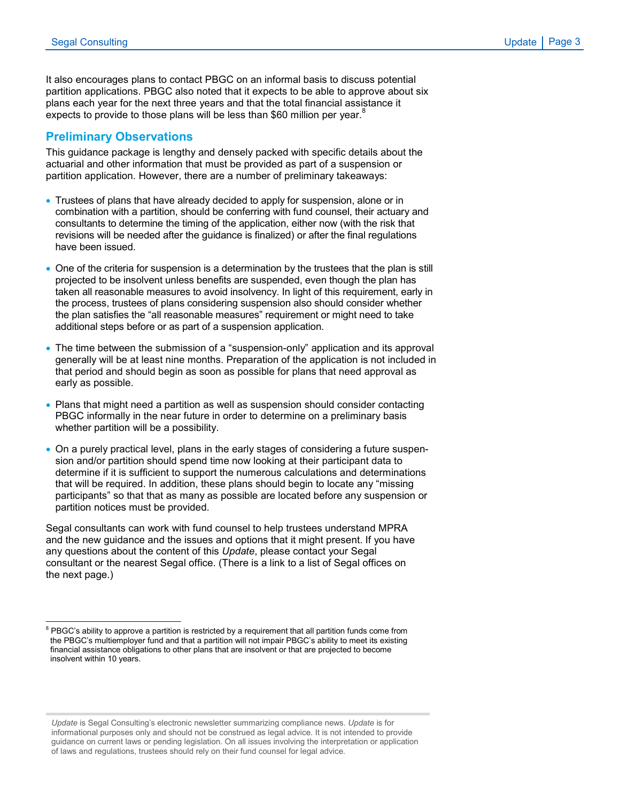It also encourages plans to contact PBGC on an informal basis to discuss potential partition applications. PBGC also noted that it expects to be able to approve about six plans each year for the next three years and that the total financial assistance it expects to provide to those plans will be less than \$60 million per year.<sup>8</sup>

### <span id="page-2-0"></span>**Preliminary Observations**

\_\_\_\_\_\_\_\_\_\_\_\_\_\_\_\_\_\_\_\_\_\_\_\_\_\_\_\_\_\_

This guidance package is lengthy and densely packed with specific details about the actuarial and other information that must be provided as part of a suspension or partition application. However, there are a number of preliminary takeaways:

- Trustees of plans that have already decided to apply for suspension, alone or in combination with a partition, should be conferring with fund counsel, their actuary and consultants to determine the timing of the application, either now (with the risk that revisions will be needed after the guidance is finalized) or after the final regulations have been issued.
- One of the criteria for suspension is a determination by the trustees that the plan is still projected to be insolvent unless benefits are suspended, even though the plan has taken all reasonable measures to avoid insolvency. In light of this requirement, early in the process, trustees of plans considering suspension also should consider whether the plan satisfies the "all reasonable measures" requirement or might need to take additional steps before or as part of a suspension application.
- The time between the submission of a "suspension-only" application and its approval generally will be at least nine months. Preparation of the application is not included in that period and should begin as soon as possible for plans that need approval as early as possible.
- Plans that might need a partition as well as suspension should consider contacting PBGC informally in the near future in order to determine on a preliminary basis whether partition will be a possibility.
- On a purely practical level, plans in the early stages of considering a future suspension and/or partition should spend time now looking at their participant data to determine if it is sufficient to support the numerous calculations and determinations that will be required. In addition, these plans should begin to locate any "missing participants" so that that as many as possible are located before any suspension or partition notices must be provided.

Segal consultants can work with fund counsel to help trustees understand MPRA and the new guidance and the issues and options that it might present. If you have any questions about the content of this *Update*, please contact your Segal consultant or the nearest Segal office. (There is a link to a list of Segal offices on the next page.)

*Update* is Segal Consulting's electronic newsletter summarizing compliance news. *Update* is for informational purposes only and should not be construed as legal advice. It is not intended to provide guidance on current laws or pending legislation. On all issues involving the interpretation or application of laws and regulations, trustees should rely on their fund counsel for legal advice.

 $8$  PBGC's ability to approve a partition is restricted by a requirement that all partition funds come from the PBGC's multiemployer fund and that a partition will not impair PBGC's ability to meet its existing financial assistance obligations to other plans that are insolvent or that are projected to become insolvent within 10 years.